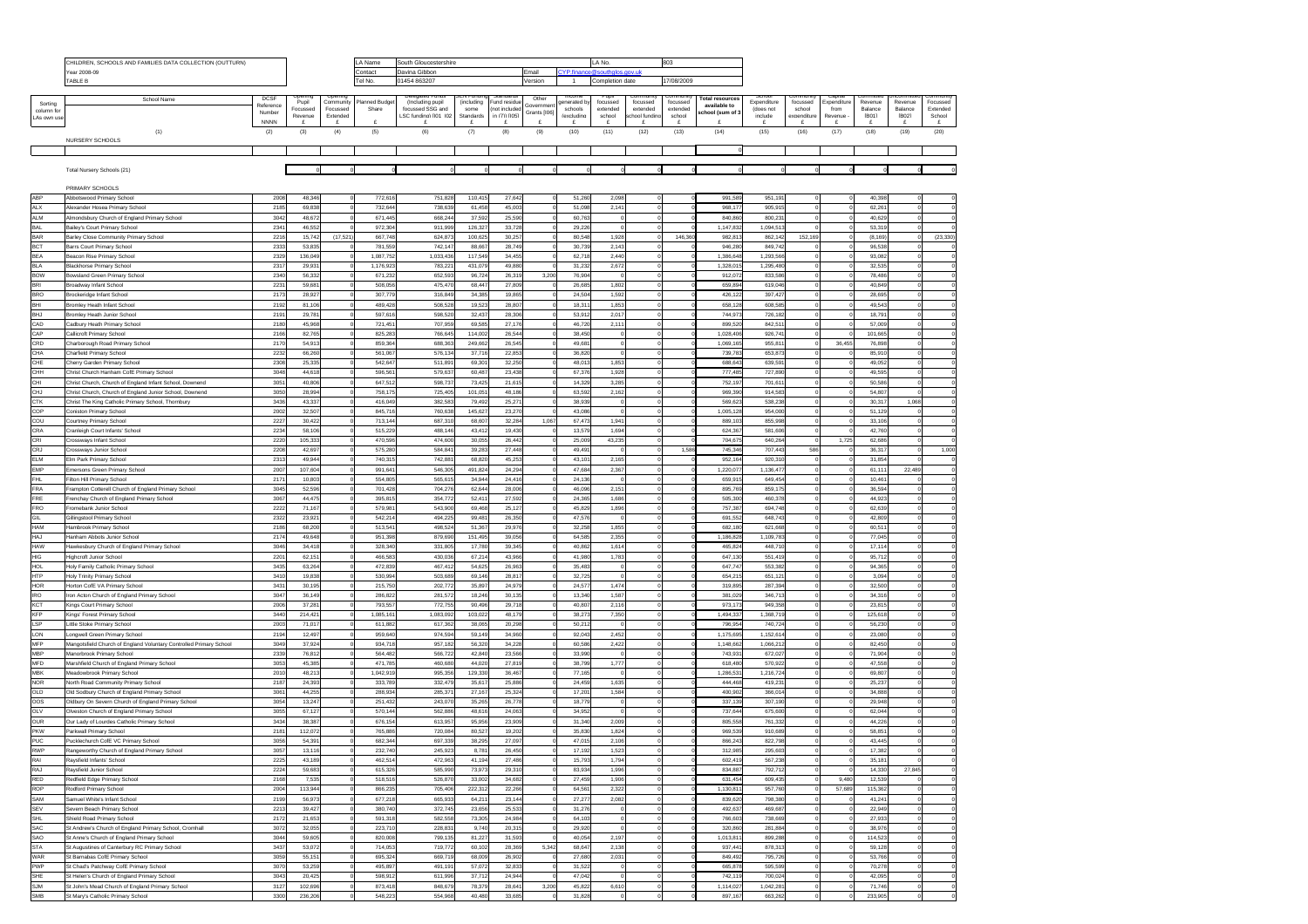|                       | CHILDREN, SCHOOLS AND FAMILIES DATA COLLECTION (OUTTURN)                                   |                       |                   |                       | LA Name                  | South Gloucestershire                |                    |                           |                             | LA No                  |                      |                      | 803                  |                        |                          |                    |                           |                    |                        |                      |
|-----------------------|--------------------------------------------------------------------------------------------|-----------------------|-------------------|-----------------------|--------------------------|--------------------------------------|--------------------|---------------------------|-----------------------------|------------------------|----------------------|----------------------|----------------------|------------------------|--------------------------|--------------------|---------------------------|--------------------|------------------------|----------------------|
|                       | ear 2008-09                                                                                |                       |                   |                       | Contact<br>Davina Gibbon |                                      |                    | Email                     | YP.finance@southolos.gov.uk |                        |                      |                      |                      |                        |                          |                    |                           |                    |                        |                      |
|                       | TABLE B                                                                                    |                       |                   |                       | Tel No.                  | 01454 863207                         |                    |                           | Version                     | $\overline{1}$         | Completion date      |                      | 17/08/2009           |                        |                          |                    |                           |                    |                        |                      |
|                       | School Name                                                                                | <b>DCSF</b>           |                   |                       |                          |                                      |                    |                           | Other                       |                        |                      |                      |                      | <b>Total resources</b> |                          |                    |                           |                    |                        |                      |
| Sorting<br>column for |                                                                                            | Reference             | Pupil<br>Focussed | Community<br>Focussed | lanned Budge<br>Share    | (Including pupil<br>focussed SSG and | (including<br>some | und residu<br>not include | Governmer                   | enerated by<br>schools | focussed<br>extended | focussed<br>extended | focussed<br>extended | available to           | Expenditure<br>(does not | focussed<br>school | <b>Expenditur</b><br>from | Revenue<br>Balance | Revenue<br>Balance     | Focussed<br>Extended |
| LAs own use           |                                                                                            | Number<br><b>NNNN</b> | Revenue<br>£      | Evtender              |                          | LSC funding) (IO1, IO2               | Standard<br>£      | in (7)) [IO5]             | Grants [106]                | (excluding             | echool<br>£          | ool fundi<br>£       | echool<br>£          | chool (sum of 3        | include                  | £                  | £                         | <b>FR041</b><br>£  | [RO2]<br>£             | School<br>£          |
|                       | (1)                                                                                        | (2)                   | (3)               | (4)                   | (5)                      | (6)                                  | (7)                | (8)                       | (9)                         | (10)                   | (11)                 | (12)                 | (13)                 | (14)                   | (15)                     | (16)               | (17)                      | (18)               | (19)                   | (20)                 |
|                       | NURSERY SCHOOLS                                                                            |                       |                   |                       |                          |                                      |                    |                           |                             |                        |                      |                      |                      |                        |                          |                    |                           |                    |                        |                      |
|                       |                                                                                            |                       |                   |                       |                          |                                      |                    |                           |                             |                        |                      |                      |                      |                        |                          |                    |                           |                    |                        |                      |
|                       |                                                                                            |                       |                   |                       |                          |                                      |                    |                           |                             |                        |                      |                      |                      |                        |                          |                    |                           |                    |                        |                      |
|                       | Total Nursery Schools (21)                                                                 |                       |                   |                       |                          |                                      |                    |                           |                             |                        |                      |                      |                      |                        |                          |                    |                           |                    |                        |                      |
|                       |                                                                                            |                       |                   |                       |                          |                                      |                    |                           |                             |                        |                      |                      |                      |                        |                          |                    |                           |                    |                        |                      |
| ABP                   | PRIMARY SCHOOLS                                                                            | 200                   | 48.346            |                       |                          |                                      |                    |                           |                             |                        | 2.098                |                      |                      | 991.58                 |                          |                    |                           |                    |                        |                      |
| <b>ALX</b>            | Abbotswood Primary School<br><b>Mexander Hosea Primary School</b>                          | 2185                  | 69,838            |                       | 772,616<br>732,644       | 751,828<br>738,639                   | 110,415<br>61,458  | 27,64<br>45,00            |                             | 51,260<br>51,098       | 2,141                |                      |                      | 968,1                  | 951,191<br>905,915       |                    |                           | 40,398<br>62,261   | $\circ$                |                      |
| ALM                   | Almondsbury Church of England Primary School                                               | 304                   | 48,672            |                       | 671,445                  | 668,244                              | 37,592             | 25,590                    |                             | 60,763                 |                      |                      |                      | 840,86                 | 800.23                   |                    |                           | 40,629             | $\Omega$               |                      |
| <b>BAL</b>            | <b>Bailey's Court Primary Schoo</b>                                                        | 234                   | 46.552            |                       | 972,304                  | 911,999                              | 126,327            | 33,72                     |                             | 29,22                  |                      |                      |                      | 1.147.83               | 1,094,513                |                    |                           | 53.319             | $\Omega$               |                      |
| <b>BAR</b>            | Barley Close Community Primary School                                                      | 2216                  | 15,742            | (17, 521)             | 667,748                  | 624,87                               | 100,625            | 30,25                     |                             | 80,548                 | 1,928                | $\Omega$             | 146.36               | 982.8                  | 862,142                  | 152.169            |                           | (8, 169)           | $\Omega$               | (23, 330)            |
| <b>BCT</b>            | arrs Court Primary School                                                                  | 233                   | 53,83             |                       | 781,559                  | 742,14                               | 88,667             | 28,74                     |                             | 30,739                 | 2,143                |                      |                      | 946,28                 | 849,742                  |                    |                           | 96,538             |                        |                      |
| <b>BEA</b>            | eacon Rise Primary School                                                                  | 2329                  | 136,049           |                       | 1,087,752                | 1,033,436                            | 117,549            | 34,45                     |                             | 62,718                 | 2,440                | $^{\circ}$           |                      | 1,386,64               | 1,293,566                |                    |                           | 93,082             | $\circ$                |                      |
| <b>BLA</b>            | lackhorse Primary Schoo                                                                    | 231                   | 29,931            |                       | 1,176,923                | 783,22                               | 431,079            | 49,88                     |                             | 31,232                 | 2,672                |                      |                      | 1,328,01               | 1,295,480                |                    |                           | 32,535             | $\circ$                |                      |
| <b>BOW</b>            | lowsland Green Primary School                                                              | 2340                  | 56,332            |                       | 671.232                  | 652,593                              | 96,724             | 26,31                     | 3,200                       | 76,904                 |                      |                      |                      | 912.07                 | 833,586                  |                    |                           | 78,486             | $\circ$                |                      |
| <b>BRI</b>            | Iroadway Infant School                                                                     | 2231                  | 59,681            |                       | 508.056                  | 475,47                               | 68.447             | 27,80                     |                             | 26,685                 | 1.802                |                      |                      | 659.89                 | 619,046                  |                    |                           | 40,849             | $\circ$                |                      |
| <b>BRO</b>            | Brockeridge Infant School                                                                  | 217                   | 28.92             |                       | 307,779                  | 316,849                              | 34.385             | 19.86                     |                             | 24,504                 | 1.592                | $^{\circ}$           |                      | 426,12                 | 397.427                  |                    |                           | 28,695             | $\mathbf 0$            |                      |
| BHI                   | Iromley Heath Infant Schoo                                                                 | 2192                  | 81,106            |                       | 489,428                  | 508,528                              | 19,523             | 28,80                     |                             | 18,311                 | 1,853                |                      |                      | 658,12                 | 608,585                  |                    |                           | 49,543             | $\circ$                |                      |
| BHJ<br>CAD            | <b>Iromley Heath Junior Schoo</b><br>adbury Heath Primary School                           | 219<br>218            | 29,78<br>45,968   |                       | 597,616<br>721,451       | 598,520<br>707,959                   | 32,437<br>69,585   | 28,306<br>27,17           |                             | 53,912<br>46,720       | 2,017<br>2,111       |                      |                      | 744,97<br>899,52       | 726,182<br>842,511       |                    |                           | 18,791<br>57,009   | $\circ$<br>$\circ$     |                      |
| CAP                   | Callicroft Primary School                                                                  | 216                   | 82.765            |                       | 825.283                  | 766,645                              | 114.002            | 26.54                     |                             | 38.450                 |                      |                      |                      | 1,028,40               | 926.741                  |                    |                           | 101.665            | $\circ$                |                      |
| CRD                   | Charborough Road Primary School                                                            | 217                   | 54.91             |                       | 859,364                  | 688,363                              | 249.662            | 26.54                     |                             | 49.68                  |                      | $\circ$              |                      | 1,069,16               | 955.811                  |                    | 36,455                    | 76,898             | $\circ$                |                      |
| CHA                   | Charfield Primary School                                                                   | 2232                  | 66,26             |                       | 561,067                  | 576,134                              | 37,716             | 22,85                     |                             | 36,820                 |                      | $\circ$              |                      | 739,78                 | 653,873                  |                    |                           | 85,910             | $\circ$                |                      |
| CHE                   | herry Garden Primary School                                                                | 2308                  | 25,335            |                       | 542,647                  | 511,89                               | 69,301             | 32,25                     |                             | 48,013                 | 1,853                |                      |                      | 688.64                 | 639,591                  |                    |                           | 49,052             | $\circ$                |                      |
| CHH                   | Christ Church Hanham CofE Primary Schoo                                                    | 3048                  | 44,61             |                       | 596,561                  | 579,63                               | 60,487             | 23,43                     |                             | 67,376                 | 1,928                |                      |                      | 777,48                 | 727,890                  |                    |                           | 49,595             | $\circ$                |                      |
| CHI                   | hrist Church, Church of England Infant School, Downend                                     | 3051                  | 40,806            |                       | 647,512                  | 598.73                               | 73,425             | 21,61                     |                             | 14,329                 | 3,285                | $\bf{0}$             |                      | 752,19                 | 701,611                  |                    |                           | 50,586             | $\circ$                |                      |
| CHJ                   | Christ Church, Church of England Junior School, Downend                                    | 3050                  | 28,994            |                       | 758.175                  | 725,405                              | 101.051            | 48.18                     |                             | 63,592                 | 2.162                | $\bf{0}$             |                      | 969,39                 | 914,583                  |                    |                           | 54.807             | $\circ$                |                      |
| CTK                   | Christ The King Catholic Primary School, Thornbury                                         | 3436                  | 43.337            |                       | 416,049                  | 382,583                              | 79.492             | 25.27                     |                             | 38,939                 |                      | $\circ$              |                      | 569,62                 | 538,238                  |                    |                           | 30.317             | 1.068                  |                      |
| COP                   | Coniston Primary School                                                                    | 2002                  | 32,50             |                       | 845,716                  | 760,63                               | 145,627            | 23,27                     |                             | 43.086                 |                      | $\circ$              |                      | 1,005,12               | 954,000                  |                    |                           | 51,129             | $\circ$                |                      |
| cou                   | Courtney Primary School                                                                    | 2227                  | 30,42             |                       | 713,144                  | 687,31                               | 68,607             | 32,28                     | 1.067                       | 67.473                 | 1,941                |                      |                      | 889,10                 | 855.998                  |                    |                           | 33,106             | $\mathbf 0$            |                      |
| CRA                   | Cranleigh Court Infants' School                                                            | 2234                  | 58,106            |                       | 515,229                  | 488,146                              | 43,412             | 19,430                    |                             | 13,579                 | 1,694                |                      |                      | 624,36                 | 581,606                  |                    |                           | 42,760             | $\mathbf 0$            |                      |
| CRI                   | cossways Infant School                                                                     | 2220                  | 105,333           |                       | 470,596                  | 474,600                              | 30,055             | 26,44                     |                             | 25,009                 | 43,235               |                      |                      | 704,67                 | 640,264                  |                    | 1,725                     | 62,686             | $\circ$                |                      |
| CRJ<br><b>ELM</b>     | <b>Crossways Junior School</b>                                                             | 2208                  | 42,697<br>49.944  |                       | 575,280<br>740.315       | 584,84<br>742,88                     | 39,283<br>68,820   | 27,448                    |                             | 49,49<br>43.10         | 2,165                | $\Omega$             | 1.586                | 745,34<br>952,16       | 707,443<br>920.310       | 586                |                           | 36,31<br>31.854    | $\circ$<br>$\Omega$    | 1,000                |
| <b>EMP</b>            | Elm Park Primary School<br>mersons Green Primary School                                    | 2313                  | 107,60            |                       |                          | 546,305                              |                    | 45,25                     |                             | 47,684                 |                      |                      |                      | 1,220,07               | 1,136,477                |                    |                           |                    | 22,489                 |                      |
| FHL                   | ilton Hill Primary School                                                                  | 2007<br>2171          | 10,80             |                       | 991,641<br>554,805       | 565,615                              | 491,824<br>34,944  | 24,29<br>24,41            |                             | 24,13                  | 2,367                |                      |                      | 659.91                 | 649.454                  |                    |                           | 61,11<br>10.46     | $\Omega$               |                      |
| FRA                   | rampton Cotterell Church of England Primary School                                         | 304                   | 52,596            |                       | 701,428                  | 704,27                               | 62,644             | 28,00                     |                             | 46,096                 | 2,151                |                      |                      | 895,76                 | 859,175                  |                    |                           | 36,59              | $\circ$                |                      |
| FRE                   | renchay Church of England Primary School                                                   | 3067                  | 44,475            |                       | 395,815                  | 354,772                              | 52,411             | 27,59                     |                             | 24,365                 | 1,686                |                      |                      | 505,30                 | 460,378                  |                    |                           | 44,923             | $\circ$                |                      |
| FRO                   | romebank Junior School                                                                     | 2222                  | 71,167            |                       | 579,981                  | 543,900                              | 69,468             | 25,12                     |                             | 45,829                 | 1,896                |                      |                      | 757,38                 | 694,748                  |                    |                           | 62,639             | $\circ$                |                      |
| GIL                   | Gillingstool Primary School                                                                | 2322                  | 23,921            |                       | 542.214                  | 494.22                               | 99.481             | 26,35                     |                             | 47,576                 |                      | $\theta$             |                      | 691.55                 | 648,743                  |                    |                           | 42,809             | $\circ$                |                      |
| HAM                   | lambrook Primary Schoo                                                                     | 2186                  | 68,200            |                       | 513.541                  | 498,524                              | 51.367             | 29.97                     |                             | 32.258                 | 1.855                |                      |                      | 682.18                 | 621.668                  |                    |                           | 60.51              | $\circ$                |                      |
| <b>HAJ</b>            | lanham Abbots Junior School                                                                | 217                   | 49,648            |                       | 951,398                  | 879.69                               | 151,495            | 39.05                     |                             | 64,585                 | 2.355                | $\circ$              |                      | 1.186.82               | 1,109,783                |                    |                           | 77.045             | $\mathbf 0$            |                      |
| HAW                   | Hawkesbury Church of England Primary School                                                | 3046                  | 34,418            |                       | 328,340                  | 331,805                              | 17,780             | 39,34                     |                             | 40,862                 | 1,614                |                      |                      | 465,82                 | 448,710                  |                    |                           | 17,114             | $\mathbf 0$            |                      |
| HIG                   | <b>Highcroft Junior School</b>                                                             | 220                   | 62,15             |                       | 466,583                  | 430,036                              | 67,214             | 43,966                    |                             | 41,980                 | 1,783                |                      |                      | 647,13                 | 551,419                  |                    |                           | 95,712             | $\circ$                |                      |
| HOL                   | loly Family Catholic Primary School                                                        | 3435                  | 63,264            |                       | 472,839                  | 467,41                               | 54,625             | 26,963                    |                             | 35,483                 |                      |                      |                      | 647,74                 | 553,382                  |                    |                           | 94,365             | $\circ$                |                      |
| <b>HTP</b><br>HOR     | <b>Holy Trinity Primary School</b><br>lorton CofE VA Primary Schoo                         | 341<br>343            | 19,838<br>30.195  |                       | 530,994<br>215,750       | 503,689<br>202,772                   | 69,146<br>35,897   | 28,81<br>24,97            |                             | 32,725<br>24.57        | 1,474                | $\circ$              |                      | 654,21<br>319.89       | 651.121<br>287.394       |                    |                           | 3,094<br>32,500    | $\circ$<br>$\circ$     |                      |
| <b>IRO</b>            | Iron Acton Church of England Primary School                                                | 3047                  | 36,149            |                       | 286.822                  | 281.57                               | 18,246             | 30,13                     |                             | 13,340                 | 1.587                | $\mathbf 0$          |                      | 381.02                 | 346,713                  |                    |                           | 34.316             | $\circ$                |                      |
| KCT                   | lings Court Primary School                                                                 | 2006                  | 37,28             |                       | 793,557                  | 772,755                              | 90,496             | 29,71                     |                             | 40,807                 | 2,116                | $\bf{0}$             |                      | 973,17                 | 949,358                  |                    |                           | 23,815             | $\mathbf 0$            |                      |
| <b>KFP</b>            | ings' Forest Primary School                                                                | 3440                  | 214,42            |                       | 1,085,161                | 1,083,092                            | 103,022            | 48,17                     |                             | 38,273                 | 7,350                |                      |                      | 1,494,33               | 1,368,719                |                    |                           | 125,618            | $\circ$                |                      |
| LSP                   | ttle Stoke Primary School                                                                  | 200                   | 71,017            |                       | 611,882                  | 617,36                               | 38,065             | 20,29                     |                             | 50,212                 |                      | $\mathbf 0$          |                      | 796,95                 | 740,724                  |                    |                           | 56,230             | $\circ$                |                      |
| LON                   | ongwell Green Primary School                                                               | 2194                  | 12.497            |                       | 959,640                  | 974.59                               | 59.149             | 34.96                     |                             | 92.043                 | 2.452                | $\mathbf 0$          |                      | 1,175,69               | 1.152.614                |                    |                           | 23,080             | $\circ$                |                      |
| MFP                   | Mangotsfield Church of England Voluntary Controlled Primary School                         | 3049                  | 37,924            |                       | 934,718                  | 957,182                              | 56,320             | 34,22                     |                             | 60,586                 | 2,422                |                      |                      | 1,148,66               | 1,066,212                |                    |                           | 82.450             | $\mathbf 0$            |                      |
| MRP                   | Manorbrook Primary School                                                                  | 2339                  | 76.812            |                       | 564,482                  | 566,722                              | 42,840             | 23,566                    |                             | 33,990                 |                      | $\circ$              |                      | 743.93                 | 672,027                  |                    |                           | 71,904             | $\circ$                |                      |
| MF <sub>D</sub>       | Marshfield Church of England Primary School                                                | 3053                  | 45,385            |                       | 471,785                  | 460,68                               | 44,020             | 27,81                     |                             | 38,799                 | 1,777                | $^{\circ}$           |                      | 618.48                 | 570,922                  |                    |                           | 47.558             | $\mathbf 0$            |                      |
| MBK                   | feadowbrook Primary Schoo                                                                  | 201                   | 48,21             |                       | 1,042,919                | 995,356                              | 129,330            | 36,46                     |                             | 77,165                 |                      |                      |                      | 1,286,53               | 1,216,724                |                    |                           | 69,807             | $\mathbf 0$            |                      |
| <b>NOR</b><br>OLD     | <b>Vorth Road Community Primary School</b><br>Old Sodbury Church of England Primary School | 2187<br>3061          | 24,393<br>44,255  |                       | 333,789<br>288,934       | 332,47<br>285,37                     | 35,617<br>27,167   | 25,88<br>25,32            |                             | 24,459<br>17,20        | 1,635<br>1,584       |                      |                      | 444,46<br>400,9        | 419,231<br>366,014       |                    |                           | 25,237<br>34,888   | $\circ$<br>$\circ$     |                      |
| oos                   | Oldbury On Severn Church of England Primary School                                         | 3054                  | 13.24             |                       | 251.432                  | 243,070                              | 35.265             | 26,77                     |                             | 18,779                 |                      | $\mathbf{0}$         |                      | 337,13                 | 307.190                  |                    |                           | 29.948             | $\circ$                |                      |
| OLV                   | Weston Church of England Primary School                                                    | 305                   | 67,12             |                       | 570,144                  | 562,88                               | 48,616             | 24,06                     |                             | 34,952                 |                      |                      |                      | 737,6                  | 675,600                  |                    |                           | 62,04              | $\circ$                |                      |
| <b>OUR</b>            | Our Lady of Lourdes Catholic Primary Schoo                                                 | 343                   | 38.387            |                       | 676,154                  | 613,95                               | 95,956             | 23,90                     |                             | 31,340                 | 2,009                |                      |                      | 805.55                 | 761,332                  |                    |                           | 44,22              | $\Omega$               |                      |
| PKW                   | arkwall Primary Schoo                                                                      | 218                   | 112,07            |                       | 765,886                  | 720,08                               | 80,527             | 19,20                     |                             | 35,830                 | 1,824                |                      |                      | 969,53                 | 910,689                  |                    |                           | 58,85              | $\circ$                |                      |
| PUC                   | ucklechurch CofE VC Primary School                                                         | 3056                  | 54,391            |                       | 682.344                  | 697.33                               | 38,295             | 27,097                    |                             | 47,015                 | 2,106                | $\bf{0}$             |                      | 866,24                 | 822,798                  |                    |                           | 43,445             | $\circ$                |                      |
| <b>RWP</b>            | Rangeworthy Church of England Primary School                                               | 3057                  | 13,116            |                       | 232,740                  | 245.923                              | 8,781              | 26,450                    |                             | 17,192                 | 1,523                | $\bf{0}$             |                      | 312,98                 | 295,603                  |                    |                           | 17,382             | $\circ$                |                      |
| RAI                   | Ravsfield Infants' School                                                                  | 2225                  | 43.189            | 0                     | 462.514                  | 472.963                              | 41.194             | 27,486                    |                             | 15,793                 | 1.794                | $^{\circ}$           |                      | 602,419                | 567.238                  |                    | 0                         | 35.181             | $\circ$                |                      |
| RAJ                   | Raysfield Junior School                                                                    | 2224                  | 59.683            | $\Omega$              | 615,326                  | 585,990                              | 73,973             | 29,31                     |                             | 83,934                 | 1,996                |                      |                      | 834.88                 | 792,712                  |                    |                           | 14,330             | 27.845                 |                      |
| RED                   | Redfield Edge Primary School                                                               | 2168                  | 7.535             |                       | 518,516                  | 526,870                              | 33,002             | 34,682                    |                             | 27,459                 | 1.906                |                      |                      | 631.45                 | 609.435                  |                    | 9.480                     | 12,539             | $\circ$                |                      |
| ROP                   | Rodford Primary School                                                                     | 2004                  | 113,944           |                       | 866,235                  | 705,406                              | 222,312            | 22,26                     |                             | 64,561                 | 2,322                |                      |                      | 1,130,81               | 957,760                  |                    | 57,689                    | 115,362            | $\circ$                |                      |
| SAM<br>SEV            | Samuel White's Infant School                                                               | 2199                  | 56,973            |                       | 677,218                  | 665,933                              | 64,211             | 23,144                    |                             | 27,277                 | 2,082                | $\circ$              |                      | 839.62                 | 798,380                  |                    |                           | 41,241             | $\mathbf 0$<br>$\circ$ |                      |
| <b>SHL</b>            | Severn Beach Primary School<br>Shield Road Primary School                                  | 221<br>2172           | 39,427<br>21.653  |                       | 380,740<br>591.318       | 372,745<br>582,558                   | 23,656<br>73,305   | 25,533<br>24.984          |                             | 31,276<br>64.103       |                      | $\circ$              |                      | 492,63<br>766,60       | 469,687<br>738,669       |                    |                           | 22,949<br>27.933   | $\circ$                |                      |
| <b>SAC</b>            | St Andrew's Church of England Primary School, Cromhall                                     | 307                   | 32.055            |                       | 223,710                  | 228.83                               | 9,740              | 20,31                     |                             | 29.920                 |                      | $\bf{0}$             |                      | 320.86                 | 281.884                  |                    |                           | 38,976             | $\circ$                |                      |
| SAO                   | St Anne's Church of England Primary School                                                 | 3044                  | 59,605            |                       | 820,008                  | 799,135                              | 81,227             | 31,59                     |                             | 40,054                 | 2,197                | $\,$ 0               |                      | 1.013.81               | 899,288                  |                    |                           | 114,523            | $\circ$                |                      |
| STA                   | St Augustines of Canterbury RC Primary School                                              | 343                   | 53,072            |                       | 714,053                  | 719,772                              | 60,102             | 28,36                     | 5,342                       | 68,647                 | 2,138                | $\bf{0}$             |                      | 937,44                 | 878,313                  |                    |                           | 59,128             | $\mathbf 0$            |                      |
| WAR                   | St Barnabas CofE Primary School                                                            | 3059                  | 55,151            |                       | 695,324                  | 669,71                               | 68,009             | 26,90                     |                             | 27,680                 | 2,03'                |                      |                      | 849,49                 | 795,726                  |                    |                           | 53,766             | $\circ$                |                      |
| PWP                   | St Chad's Patchway CofE Primary School                                                     | 3070                  | 53,259            |                       | 495,897                  | 491,191                              | 57,072             | 32,833                    |                             | 31,522                 |                      | $\mathbf 0$          |                      | 665,87                 | 595,599                  |                    |                           | 70,278             | $\mathbf 0$            |                      |
| SHE                   | St Helen's Church of England Primary School                                                | 3043                  | 20.425            |                       | 598.912                  | 611.996                              | 37.712             | 24.944                    |                             | 47.042                 |                      | $\theta$             |                      | 742,119                | 700.024                  |                    |                           | 42.095             | $\mathbf 0$            |                      |
| <b>SJM</b>            | St John's Mead Church of England Primary School                                            | 3127                  | 102,696           |                       | 873,418                  | 848.67                               | 78,379             | 28.64                     | 3,200                       | 45,822                 | 6,610                | $\overline{0}$       |                      | 1,114,027              | 1,042,281                |                    |                           | 71,746             | $\mathbf 0$            |                      |
| <b>SMR</b>            | St Mary's Catholic Primary School                                                          | 3300                  | 236,206           | $\circ$               | 548,223                  | 554,968                              | 40,480             | 33,685                    | - 0                         | 31,828                 | $^{\circ}$           | $\circ$              |                      | 897,167                | 663,262                  | $\circ$            | $\circ$                   | 233,905            | $\circ$                |                      |